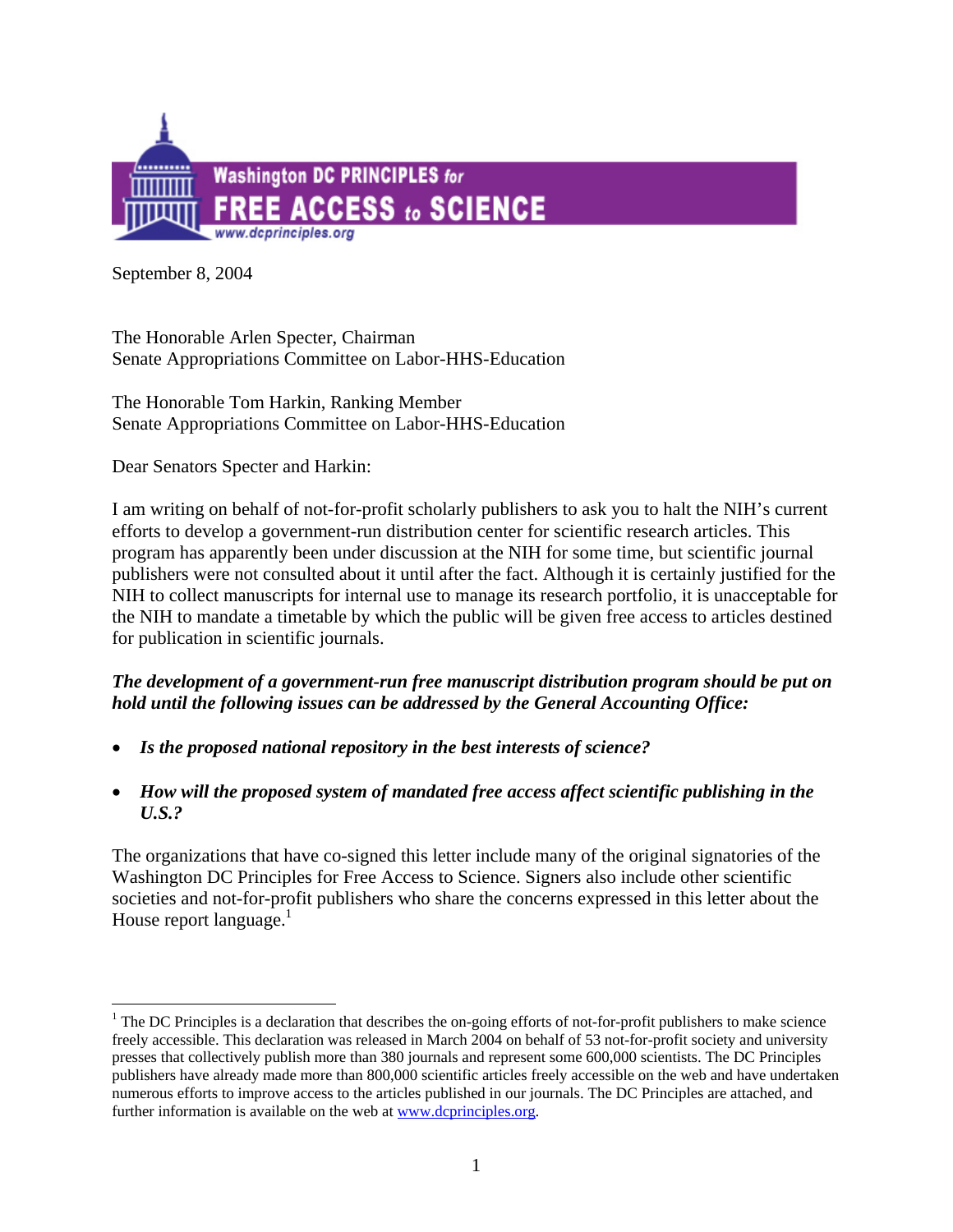

September 8, 2004

 $\overline{a}$ 

The Honorable Arlen Specter, Chairman Senate Appropriations Committee on Labor-HHS-Education

The Honorable Tom Harkin, Ranking Member Senate Appropriations Committee on Labor-HHS-Education

Dear Senators Specter and Harkin:

I am writing on behalf of not-for-profit scholarly publishers to ask you to halt the NIH's current efforts to develop a government-run distribution center for scientific research articles. This program has apparently been under discussion at the NIH for some time, but scientific journal publishers were not consulted about it until after the fact. Although it is certainly justified for the NIH to collect manuscripts for internal use to manage its research portfolio, it is unacceptable for the NIH to mandate a timetable by which the public will be given free access to articles destined for publication in scientific journals.

# *The development of a government-run free manuscript distribution program should be put on hold until the following issues can be addressed by the General Accounting Office:*

- *Is the proposed national repository in the best interests of science?*
- *How will the proposed system of mandated free access affect scientific publishing in the U.S.?*

The organizations that have co-signed this letter include many of the original signatories of the Washington DC Principles for Free Access to Science. Signers also include other scientific societies and not-for-profit publishers who share the concerns expressed in this letter about the House report language. $1$ 

<span id="page-0-0"></span> $1$  The DC Principles is a declaration that describes the on-going efforts of not-for-profit publishers to make science freely accessible. This declaration was released in March 2004 on behalf of 53 not-for-profit society and university presses that collectively publish more than 380 journals and represent some 600,000 scientists. The DC Principles publishers have already made more than 800,000 scientific articles freely accessible on the web and have undertaken numerous efforts to improve access to the articles published in our journals. The DC Principles are attached, and further information is available on the web at **[www.dcprinciples.org](http://www.dcprinciples.org/)**.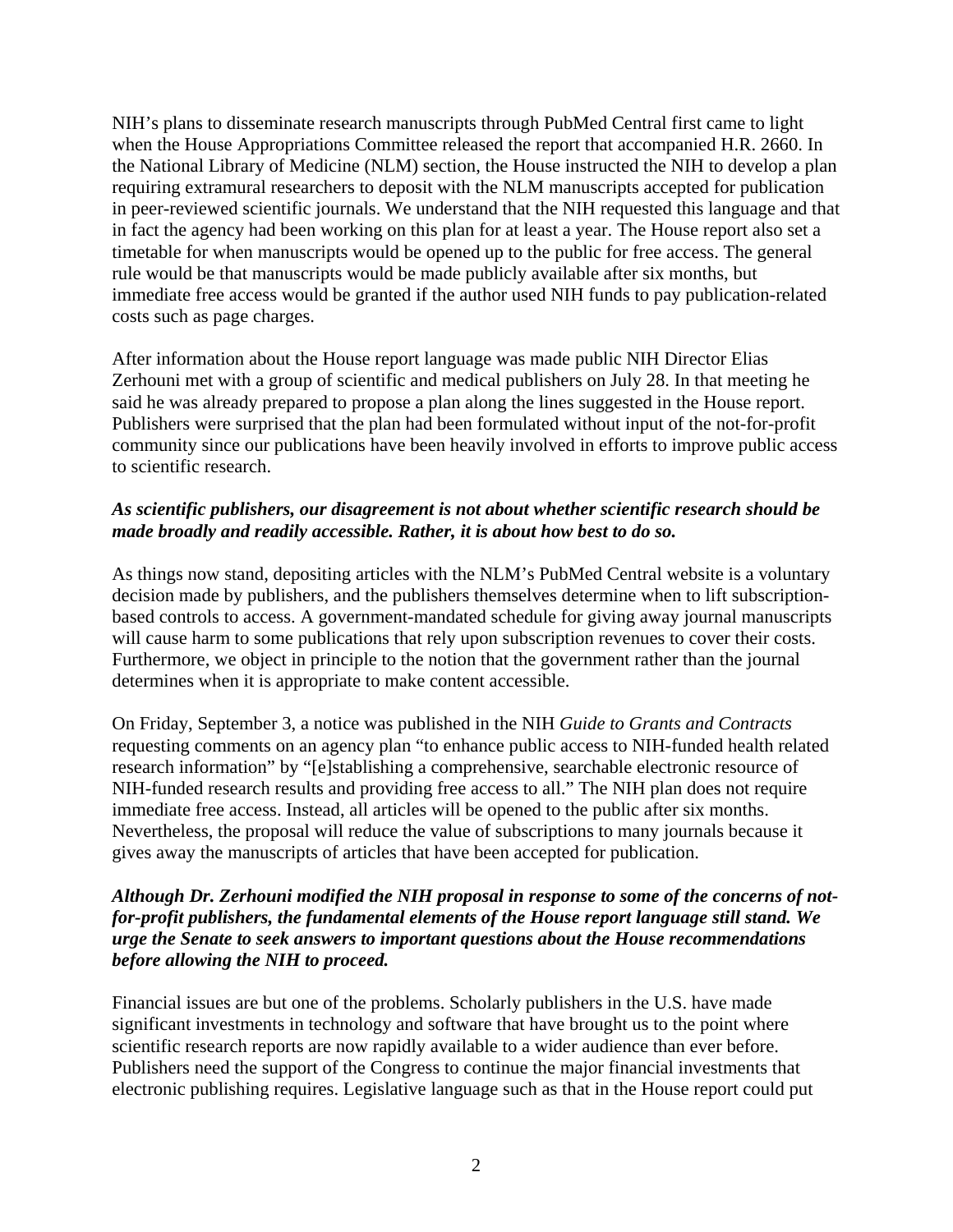NIH's plans to disseminate research manuscripts through PubMed Central first came to light when the House Appropriations Committee released the report that accompanied H.R. 2660. In the National Library of Medicine (NLM) section, the House instructed the NIH to develop a plan requiring extramural researchers to deposit with the NLM manuscripts accepted for publication in peer-reviewed scientific journals. We understand that the NIH requested this language and that in fact the agency had been working on this plan for at least a year. The House report also set a timetable for when manuscripts would be opened up to the public for free access. The general rule would be that manuscripts would be made publicly available after six months, but immediate free access would be granted if the author used NIH funds to pay publication-related costs such as page charges.

After information about the House report language was made public NIH Director Elias Zerhouni met with a group of scientific and medical publishers on July 28. In that meeting he said he was already prepared to propose a plan along the lines suggested in the House report. Publishers were surprised that the plan had been formulated without input of the not-for-profit community since our publications have been heavily involved in efforts to improve public access to scientific research.

### *As scientific publishers, our disagreement is not about whether scientific research should be made broadly and readily accessible. Rather, it is about how best to do so.*

As things now stand, depositing articles with the NLM's PubMed Central website is a voluntary decision made by publishers, and the publishers themselves determine when to lift subscriptionbased controls to access. A government-mandated schedule for giving away journal manuscripts will cause harm to some publications that rely upon subscription revenues to cover their costs. Furthermore, we object in principle to the notion that the government rather than the journal determines when it is appropriate to make content accessible.

[On Friday, September 3, a notice was published in the NIH](http://www.dcprinciples.org/) *Guide to Grants and Contracts*  [requesting comments on an agency plan "to enhance public access to NIH-funded health related](http://www.dcprinciples.org/)  [research information" by "\[e\]stablishing a comprehensive, searchable electronic resource of](http://www.dcprinciples.org/)  [NIH-funded research results and providing free access to all." The NIH plan does not require](http://www.dcprinciples.org/)  [immediate free access. Instead, all articles will be opened to the public after six months.](http://www.dcprinciples.org/)  [Nevertheless, the proposal will reduce the value of subscriptions to many journals because it](http://www.dcprinciples.org/)  [gives away the manuscripts of articles that have been accepted for publication.](http://www.dcprinciples.org/) 

### *Although Dr. Zerhouni modified the NIH proposal in response to some of the concerns of notfor-profit publishers, the fundamental elements of the House report language still stand. We urge the Senate to seek answers to important questions about the House recommendations before allowing the NIH to proceed.*

Financial issues are but one of the problems. Scholarly publishers in the U.S. have made significant investments in technology and software that have brought us to the point where scientific research reports are now rapidly available to a wider audience than ever before. Publishers need the support of the Congress to continue the major financial investments that electronic publishing requires. Legislative language such as that in the House report could put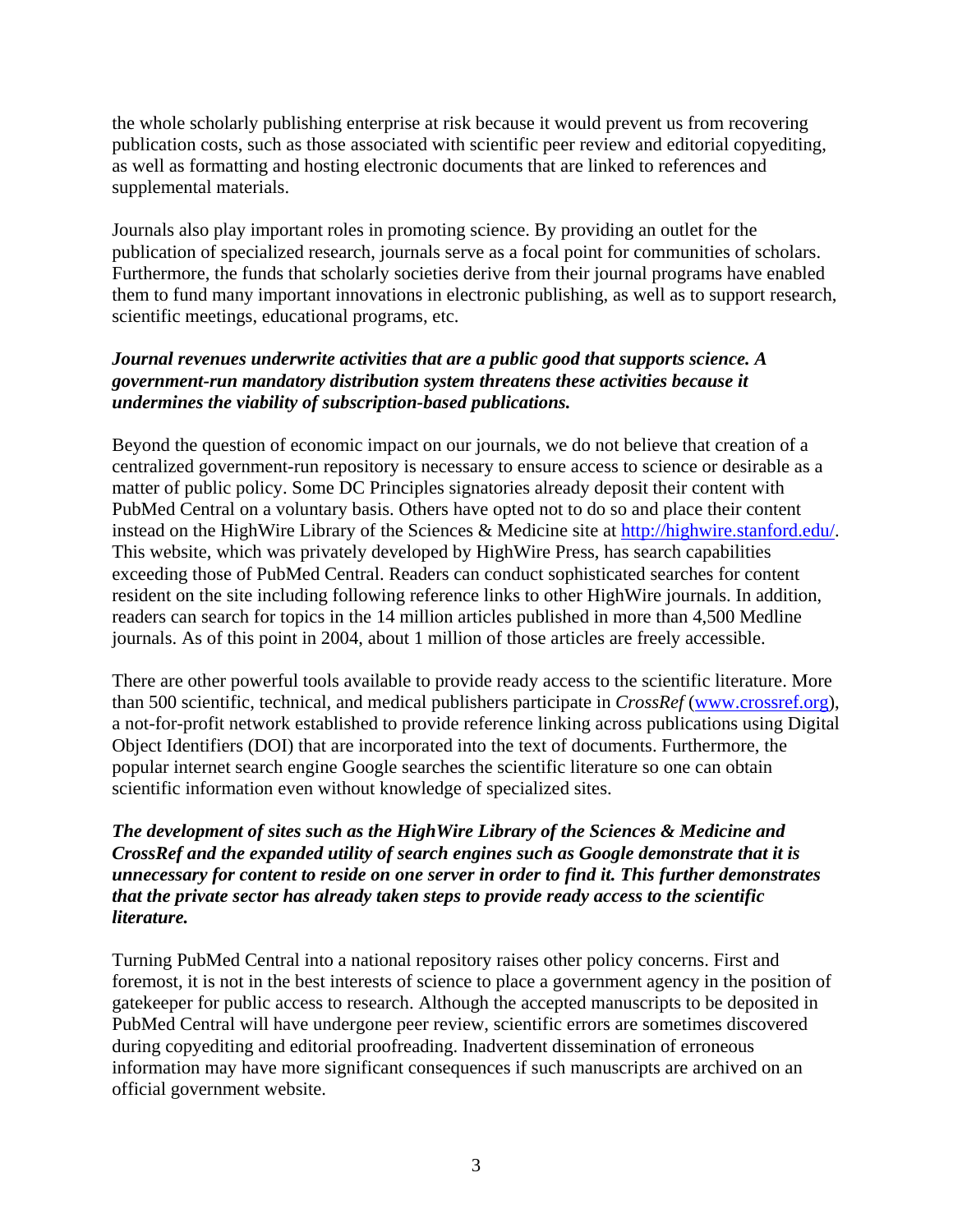the whole scholarly publishing enterprise at risk because it would prevent us from recovering publication costs, such as those associated with scientific peer review and editorial copyediting, as well as formatting and hosting electronic documents that are linked to references and supplemental materials.

Journals also play important roles in promoting science. By providing an outlet for the publication of specialized research, journals serve as a focal point for communities of scholars. Furthermore, the funds that scholarly societies derive from their journal programs have enabled them to fund many important innovations in electronic publishing, as well as to support research, scientific meetings, educational programs, etc.

# *Journal revenues underwrite activities that are a public good that supports science. A government-run mandatory distribution system threatens these activities because it undermines the viability of subscription-based publications.*

Beyond the question of economic impact on our journals, we do not believe that creation of a centralized government-run repository is necessary to ensure access to science or desirable as a matter of public policy. Some DC Principles signatories already deposit their content with PubMed Central on a voluntary basis. Others have opted not to do so and place their content instead on the HighWire Library of the Sciences & Medicine site at [http://highwire.stanford.edu/.](http://highwire.stanford.edu/) This website, which was privately developed by HighWire Press, has search capabilities exceeding those of PubMed Central. Readers can conduct sophisticated searches for content resident on the site including following reference links to other HighWire journals. In addition, readers can search for topics in the 14 million articles published in more than 4,500 Medline journals. As of this point in 2004, about 1 million of those articles are freely accessible.

There are other powerful tools available to provide ready access to the scientific literature. More than 500 scientific, technical, and medical publishers participate in *CrossRef* ([www.crossref.org\)](http://www.crossref.org/), a not-for-profit network established to provide reference linking across publications using Digital Object Identifiers (DOI) that are incorporated into the text of documents. Furthermore, the popular internet search engine Google searches the scientific literature so one can obtain scientific information even without knowledge of specialized sites.

# *The development of sites such as the HighWire Library of the Sciences & Medicine and CrossRef and the expanded utility of search engines such as Google demonstrate that it is unnecessary for content to reside on one server in order to find it. This further demonstrates that the private sector has already taken steps to provide ready access to the scientific literature.*

Turning PubMed Central into a national repository raises other policy concerns. First and foremost, it is not in the best interests of science to place a government agency in the position of gatekeeper for public access to research. Although the accepted manuscripts to be deposited in PubMed Central will have undergone peer review, scientific errors are sometimes discovered during copyediting and editorial proofreading. Inadvertent dissemination of erroneous information may have more significant consequences if such manuscripts are archived on an official government website.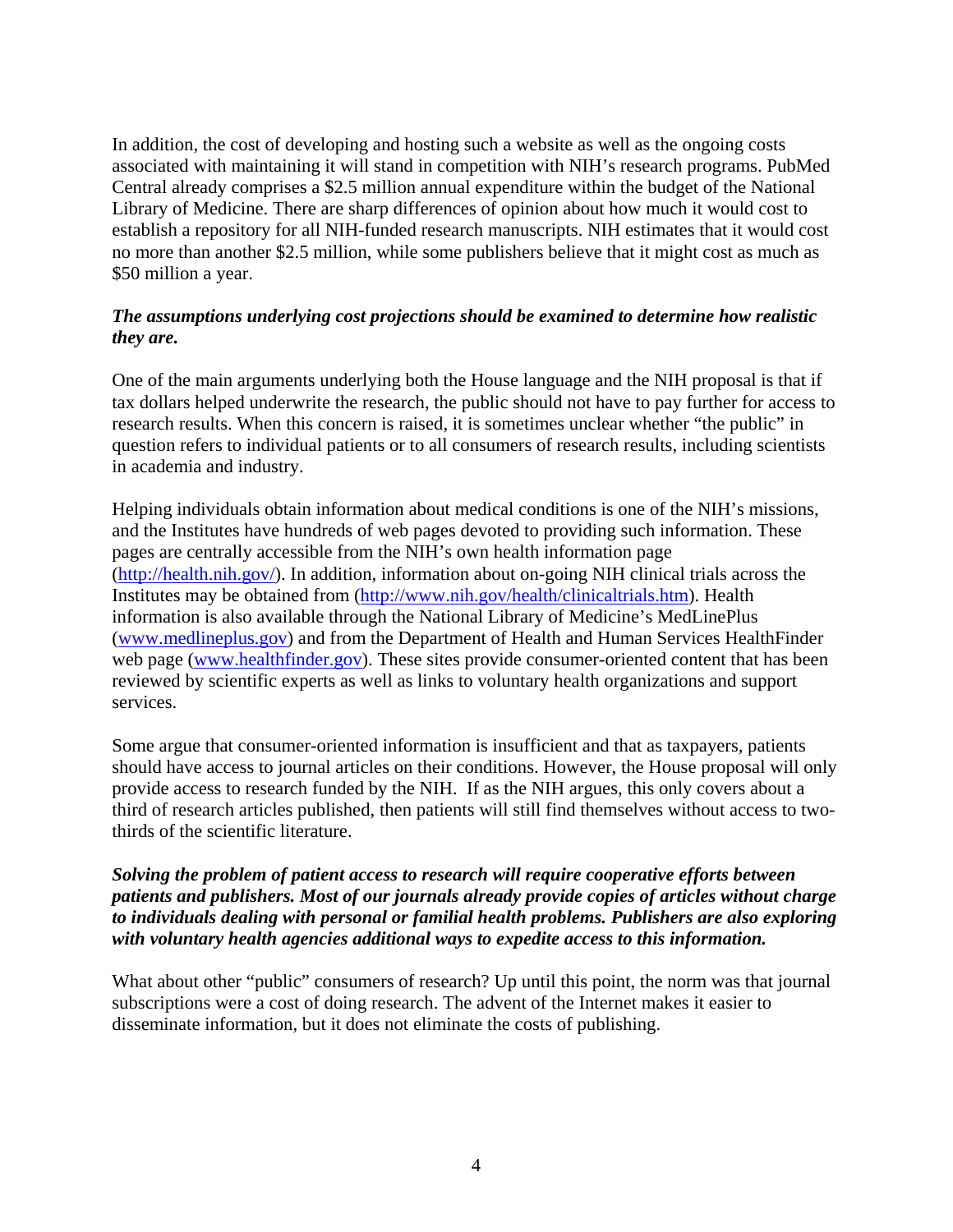In addition, the cost of developing and hosting such a website as well as the ongoing costs associated with maintaining it will stand in competition with NIH's research programs. PubMed Central already comprises a \$2.5 million annual expenditure within the budget of the National Library of Medicine. There are sharp differences of opinion about how much it would cost to establish a repository for all NIH-funded research manuscripts. NIH estimates that it would cost no more than another \$2.5 million, while some publishers believe that it might cost as much as \$50 million a year.

# *The assumptions underlying cost projections should be examined to determine how realistic they are.*

One of the main arguments underlying both the House language and the NIH proposal is that if tax dollars helped underwrite the research, the public should not have to pay further for access to research results. When this concern is raised, it is sometimes unclear whether "the public" in question refers to individual patients or to all consumers of research results, including scientists in academia and industry.

Helping individuals obtain information about medical conditions is one of the NIH's missions, and the Institutes have hundreds of web pages devoted to providing such information. These pages are centrally accessible from the NIH's own health information page ([http://health.nih.gov/\)](http://health.nih.gov/). In addition, information about on-going NIH clinical trials across the Institutes may be obtained from ([http://www.nih.gov/health/clinicaltrials.htm\)](http://www.nih.gov/health/clinicaltrials.htm). Health information is also available through the National Library of Medicine's MedLinePlus ([www.medlineplus.gov\)](http://www.medlineplus.gov/) and from the Department of Health and Human Services HealthFinder web page ([www.healthfinder.gov\)](http://www.healthfinder.gov/). These sites provide consumer-oriented content that has been reviewed by scientific experts as well as links to voluntary health organizations and support services.

Some argue that consumer-oriented information is insufficient and that as taxpayers, patients should have access to journal articles on their conditions. However, the House proposal will only provide access to research funded by the NIH. If as the NIH argues, this only covers about a third of research articles published, then patients will still find themselves without access to twothirds of the scientific literature.

#### *Solving the problem of patient access to research will require cooperative efforts between patients and publishers. Most of our journals already provide copies of articles without charge to individuals dealing with personal or familial health problems. Publishers are also exploring with voluntary health agencies additional ways to expedite access to this information.*

What about other "public" consumers of research? Up until this point, the norm was that journal subscriptions were a cost of doing research. The advent of the Internet makes it easier to disseminate information, but it does not eliminate the costs of publishing.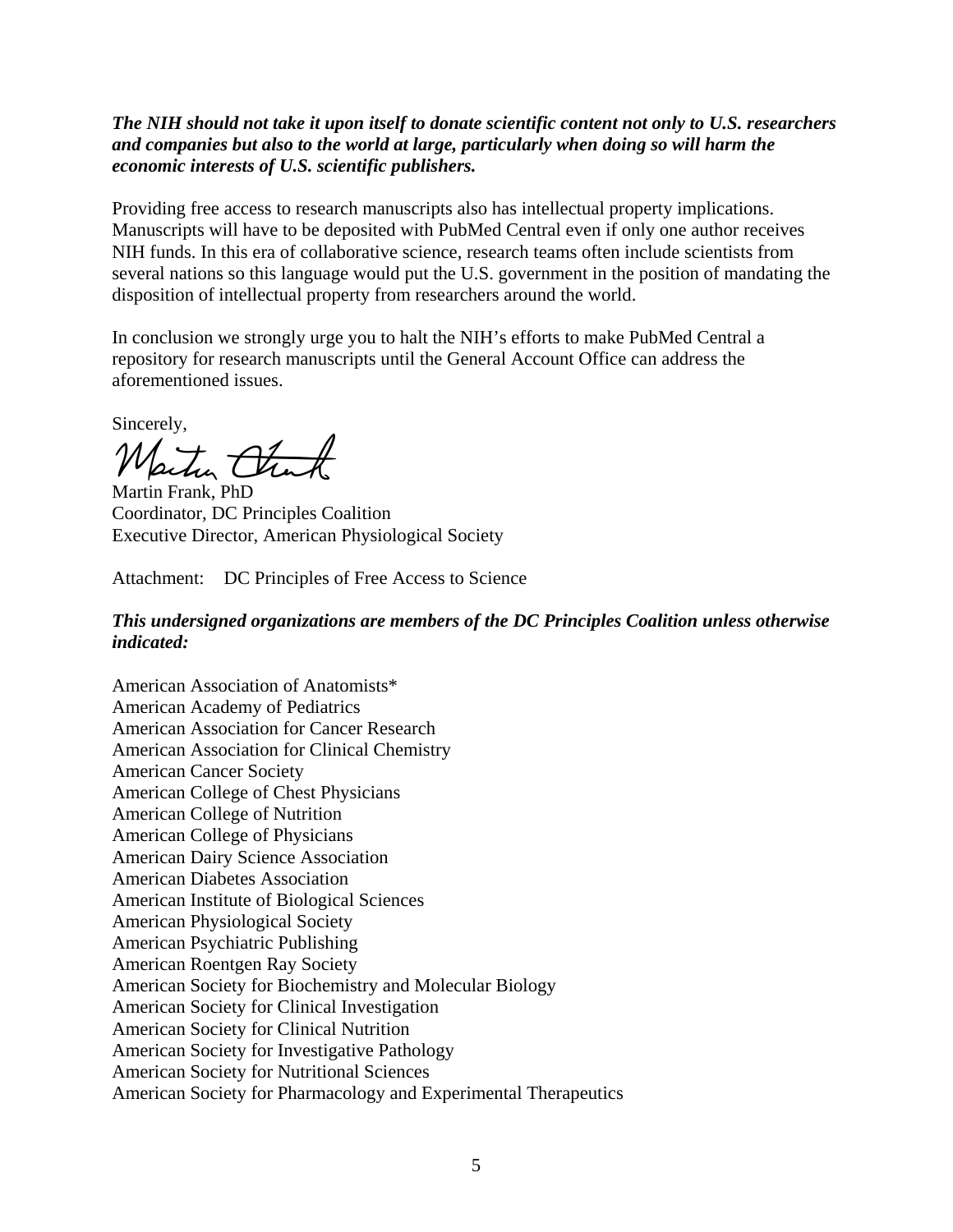### *The NIH should not take it upon itself to donate scientific content not only to U.S. researchers and companies but also to the world at large, particularly when doing so will harm the economic interests of U.S. scientific publishers.*

Providing free access to research manuscripts also has intellectual property implications. Manuscripts will have to be deposited with PubMed Central even if only one author receives NIH funds. In this era of collaborative science, research teams often include scientists from several nations so this language would put the U.S. government in the position of mandating the disposition of intellectual property from researchers around the world.

In conclusion we strongly urge you to halt the NIH's efforts to make PubMed Central a repository for research manuscripts until the General Account Office can address the aforementioned issues.

Sincerely,

Water Chat

Martin Frank, PhD Coordinator, DC Principles Coalition Executive Director, American Physiological Society

Attachment: DC Principles of Free Access to Science

#### *This undersigned organizations are members of the DC Principles Coalition unless otherwise indicated:*

American Association of Anatomists\* [American Academy of Pediatrics](http://www.aap.org/)  [American Association for Cancer Research](http://www.aacr.org/)  [American Association for Clinical Chemistry](http://www.aacc.org/)  [American Cancer Society](http://www.cancer.org/docroot/home/index.asp) [American College of Chest Physicians](http://www.chestnet.org/) [American College of Nutrition](http://www.am-coll-nutr.org/)  [American College of Physicians](http://www.acponline.org/)  [American Dairy Science Association](http://www.acpjc.org/?hp)  [American Diabetes Association](http://www.diabetes.org/home.jsp) [American Institute of Biological Sciences](http://www.aibs.org/core/index.html) [American Physiological Society](http://www.the-aps.org/)  [American Psychiatric Publishing](http://www.appi.org/) [American Roentgen Ray Society](https://www.arrs.org/ScriptContent/Index.cfm)  American Society for Biochemistry and Molecular Biolog[y](http://www.asbmb.org/ASBMB/site.nsf)  [American Society for Clinical Investigation](http://www.asci-jci.org/)  [American Society for Clinical Nutrition](http://www.ascn.org/)  [American Society for Investigative Pathology](http://www.asip.org/)  American Society for Nutritional Science[s](http://www.asns.org/)  [American Society for Pharmacology and Experimental Therapeutics](http://www.aspet.org/)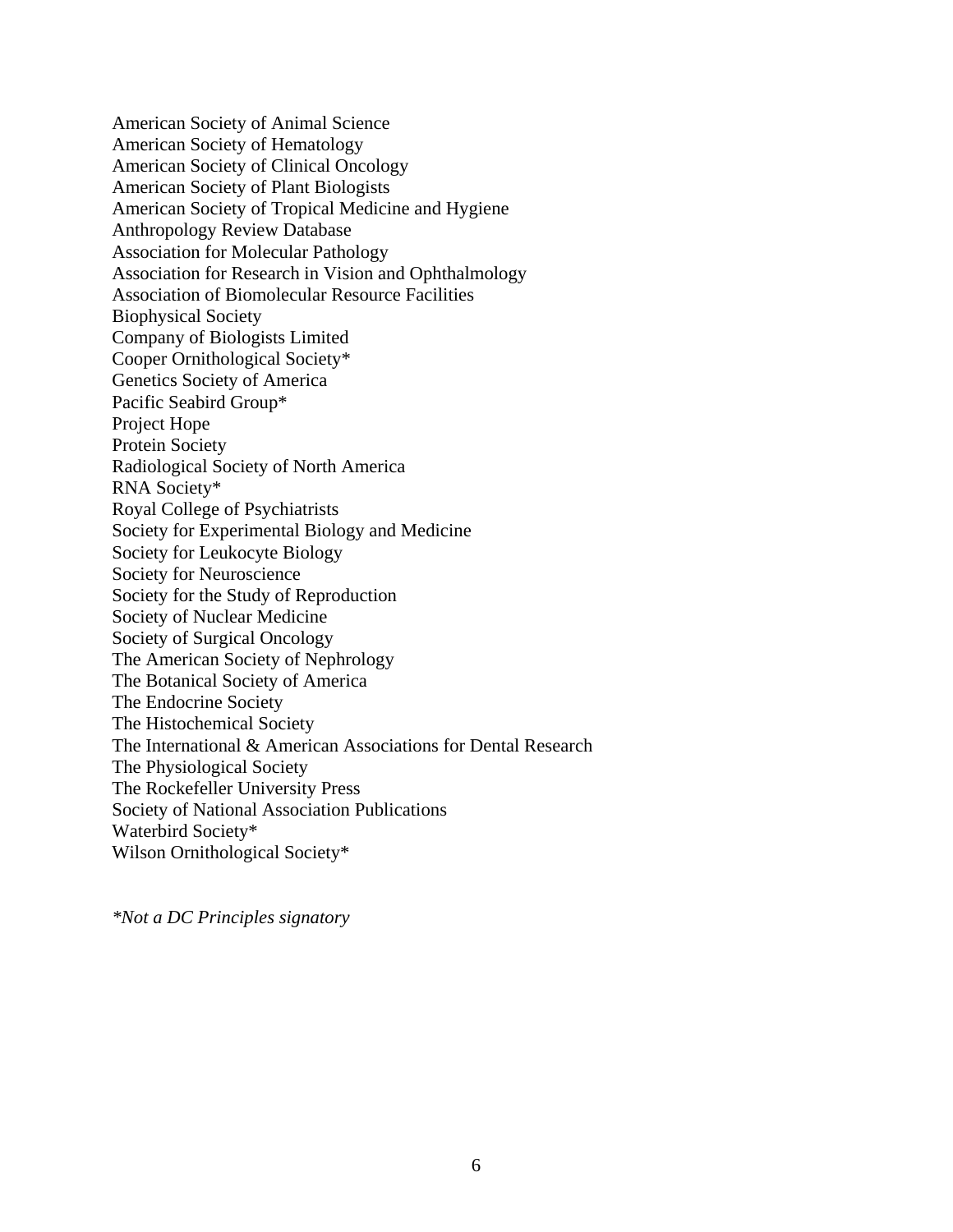[American Society of Animal Science](http://www.asas.org/)  [American Society of Hematology](http://www.hematology.org/)  American Society of Clinical Oncology American Society of Plant Biologists American Society of Tropical Medicine and Hygien[e](http://www.astmh.org/)  [Anthropology Review Database](http://wings.buffalo.edu/ARD)  [Association for Molecular Pathology](http://www.ampweb.org/)  Association for Research [in Vision and Ophthalmology](http://www.arvo.org/root/index.asp)  [Association of Biomolecular Resource Facilities](http://www.abrf.org/)  [Biophysical Society](http://www.biophysics.org/) Company of Biologists Limite[d](http://www.biologists.com/web/)  Cooper Ornithological Society\* Genetics Society of Americ[a](http://www.genetics-gsa.org/)  Pacific Seabird Group\* [Project Hope](http://www.projecthope.org/) [Protein Society](http://www.proteinsociety.org/)  [Radiological Society of North America](http://www.rsna.org/)  RNA Society\* [Royal College of Psychiatrists](http://www.rcpsych.ac.uk/)  [Society for Experimental Biology and Medicine](http://www.sebm.org/)  [Society for Leukocyte Biology](http://www.leukocytebiology.org/) [Society for Neuroscience](http://web.sfn.org/) [Society for the Study of Reproduction](http://www.ssr.org/) [Society of Nuclear Medicine](http://interactive.snm.org/index.cfm?pageid=10&rpid=1977) [Society of Surgical Oncology](http://www.surgonc.org/) [The American Society of Nephrology](http://www.asn-online.org/) [The Botanical Society of America](http://www.botany.org/)  [The Endocrine Society](http://www.endo-society.org/)  [The Histochemical Society](http://www.histochemicalsociety.org/)  [The International & American Associations for Dental Research](http://www.dentalresearch.org/)  [The Physiological Society](http://www.physoc.org/)  [The Rockefeller University Press](http://www.rockefeller.edu/rupress/)  [Society of National Association Publications](http://www.snaponline.org/) Waterbird Society\* Wilson Ornithological Society\*

*\*Not a DC Principles signatory*